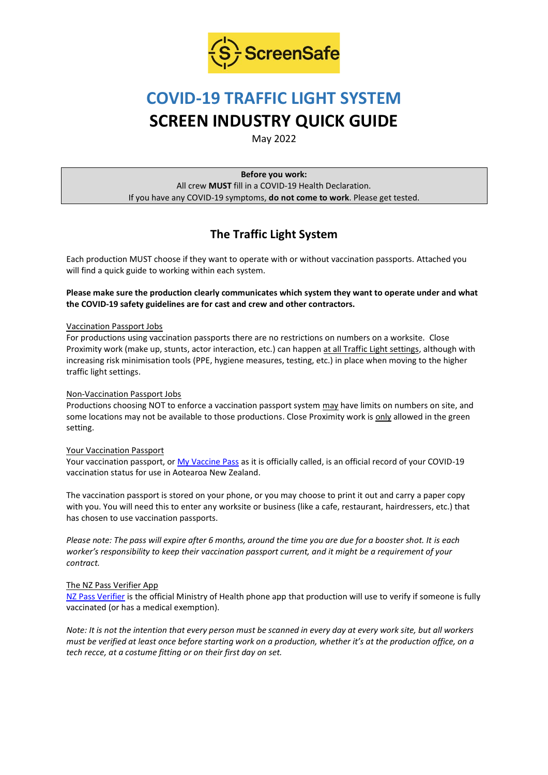

# **COVID-19 TRAFFIC LIGHT SYSTEM SCREEN INDUSTRY QUICK GUIDE**

May 2022

**Before you work:** All crew **MUST** fill in a COVID-19 Health Declaration. If you have any COVID-19 symptoms, **do not come to work**. Please get tested.

# **The Traffic Light System**

Each production MUST choose if they want to operate with or without vaccination passports. Attached you will find a quick guide to working within each system.

**Please make sure the production clearly communicates which system they want to operate under and what the COVID-19 safety guidelines are for cast and crew and other contractors.**

### Vaccination Passport Jobs

For productions using vaccination passports there are no restrictions on numbers on a worksite. Close Proximity work (make up, stunts, actor interaction, etc.) can happen at all Traffic Light settings, although with increasing risk minimisation tools (PPE, hygiene measures, testing, etc.) in place when moving to the higher traffic light settings.

## Non-Vaccination Passport Jobs

Productions choosing NOT to enforce a vaccination passport system may have limits on numbers on site, and some locations may not be available to those productions. Close Proximity work is only allowed in the green setting.

### Your Vaccination Passport

Your vaccination passport, o[r My Vaccine Pass](https://covid19.govt.nz/covid-19-vaccines/covid-19-vaccination-certificates/my-vaccine-pass/) as it is officially called, is an official record of your COVID-19 vaccination status for use in Aotearoa New Zealand.

The vaccination passport is stored on your phone, or you may choose to print it out and carry a paper copy with you. You will need this to enter any worksite or business (like a cafe, restaurant, hairdressers, etc.) that has chosen to use vaccination passports.

*Please note: The pass will expire after 6 months, around the time you are due for a booster shot. It is each worker's responsibility to keep their vaccination passport current, and it might be a requirement of your contract.* 

### The NZ Pass Verifier App

[NZ Pass Verifier](https://www.health.govt.nz/our-work/diseases-and-conditions/covid-19-novel-coronavirus/covid-19-vaccines/my-covid-record-proof-vaccination-status/nz-pass-verifier#about) is the official Ministry of Health phone app that production will use to verify if someone is fully vaccinated (or has a medical exemption).

*Note: It is not the intention that every person must be scanned in every day at every work site, but all workers must be verified at least once before starting work on a production, whether it's at the production office, on a tech recce, at a costume fitting or on their first day on set.*